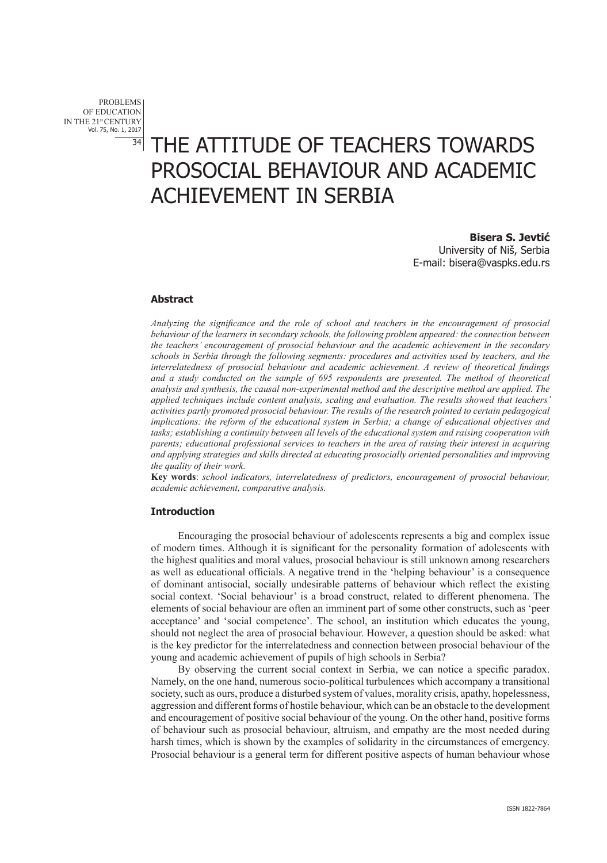PROBLEMS OF EDUCATION IN THE 21st CENTURY Vol. 75, No. 1, 2017

# 34 THE ATTITUDE OF TEACHERS TOWARDS PROSOCIAL BEHAVIOUR AND ACADEMIC ACHIEVEMENT IN SERBIA

**Bisera S. Jevtić** University of Niš, Serbia E-mail: bisera@vaspks.edu.rs

#### **Abstract**

*Analyzing the significance and the role of school and teachers in the encouragement of prosocial behaviour of the learners in secondary schools, the following problem appeared: the connection between the teachers' encouragement of prosocial behaviour and the academic achievement in the secondary schools in Serbia through the following segments: procedures and activities used by teachers, and the interrelatedness of prosocial behaviour and academic achievement. A review of theoretical findings and a study conducted on the sample of 695 respondents are presented. The method of theoretical analysis and synthesis, the causal non-experimental method and the descriptive method are applied. The applied techniques include content analysis, scaling and evaluation. The results showed that teachers' activities partly promoted prosocial behaviour. The results of the research pointed to certain pedagogical implications: the reform of the educational system in Serbia; a change of educational objectives and tasks; establishing a continuity between all levels of the educational system and raising cooperation with parents; educational professional services to teachers in the area of raising their interest in acquiring and applying strategies and skills directed at educating prosocially oriented personalities and improving the quality of their work.*

**Key words**: *school indicators, interrelatedness of predictors, encouragement of prosocial behaviour, academic achievement, comparative analysis.*

#### **Introduction**

Encouraging the prosocial behaviour of adolescents represents a big and complex issue of modern times. Although it is significant for the personality formation of adolescents with the highest qualities and moral values, prosocial behaviour is still unknown among researchers as well as educational officials. A negative trend in the 'helping behaviour' is a consequence of dominant antisocial, socially undesirable patterns of behaviour which reflect the existing social context. 'Social behaviour' is a broad construct, related to different phenomena. The elements of social behaviour are often an imminent part of some other constructs, such as 'peer acceptance' and 'social competence'. The school, an institution which educates the young, should not neglect the area of prosocial behaviour. However, a question should be asked: what is the key predictor for the interrelatedness and connection between prosocial behaviour of the young and academic achievement of pupils of high schools in Serbia?

By observing the current social context in Serbia, we can notice a specific paradox. Namely, on the one hand, numerous socio-political turbulences which accompany a transitional society, such as ours, produce a disturbed system of values, morality crisis, apathy, hopelessness, aggression and different forms of hostile behaviour, which can be an obstacle to the development and encouragement of positive social behaviour of the young. On the other hand, positive forms of behaviour such as prosocial behaviour, altruism, and empathy are the most needed during harsh times, which is shown by the examples of solidarity in the circumstances of emergency. Prosocial behaviour is a general term for different positive aspects of human behaviour whose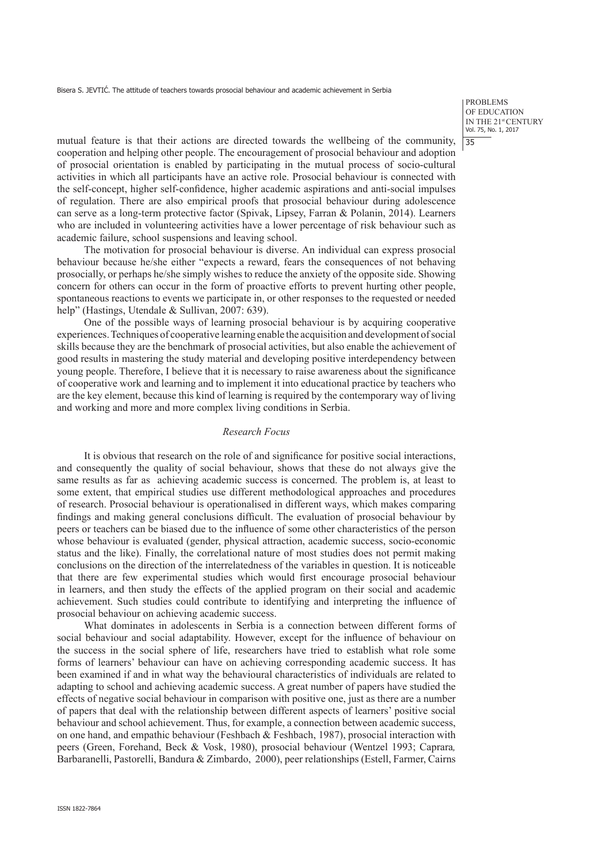PROBLEMS OF EDUCATION IN THE 21st CENTURY Vol. 75, No. 1, 2017 35

mutual feature is that their actions are directed towards the wellbeing of the community, cooperation and helping other people. The encouragement of prosocial behaviour and adoption of prosocial orientation is enabled by participating in the mutual process of socio-cultural activities in which all participants have an active role. Prosocial behaviour is connected with the self-concept, higher self-confidence, higher academic aspirations and anti-social impulses of regulation. There are also empirical proofs that prosocial behaviour during adolescence can serve as a long-term protective factor (Spivak, Lipsey, Farran & Polanin, 2014). Learners who are included in volunteering activities have a lower percentage of risk behaviour such as academic failure, school suspensions and leaving school.

The motivation for prosocial behaviour is diverse. An individual can express prosocial behaviour because he/she either "expects a reward, fears the consequences of not behaving prosocially, or perhaps he/she simply wishes to reduce the anxiety of the opposite side. Showing concern for others can occur in the form of proactive efforts to prevent hurting other people, spontaneous reactions to events we participate in, or other responses to the requested or needed help" (Hastings, Utendale & Sullivan, 2007: 639).

One of the possible ways of learning prosocial behaviour is by acquiring cooperative experiences. Techniques of cooperative learning enable the acquisition and development of social skills because they are the benchmark of prosocial activities, but also enable the achievement of good results in mastering the study material and developing positive interdependency between young people. Therefore, I believe that it is necessary to raise awareness about the significance of cooperative work and learning and to implement it into educational practice by teachers who are the key element, because this kind of learning is required by the contemporary way of living and working and more and more complex living conditions in Serbia.

#### *Research Focus*

It is obvious that research on the role of and significance for positive social interactions, and consequently the quality of social behaviour, shows that these do not always give the same results as far as achieving academic success is concerned. The problem is, at least to some extent, that empirical studies use different methodological approaches and procedures of research. Prosocial behaviour is operationalised in different ways, which makes comparing findings and making general conclusions difficult. The evaluation of prosocial behaviour by peers or teachers can be biased due to the influence of some other characteristics of the person whose behaviour is evaluated (gender, physical attraction, academic success, socio-economic status and the like). Finally, the correlational nature of most studies does not permit making conclusions on the direction of the interrelatedness of the variables in question. It is noticeable that there are few experimental studies which would first encourage prosocial behaviour in learners, and then study the effects of the applied program on their social and academic achievement. Such studies could contribute to identifying and interpreting the influence of prosocial behaviour on achieving academic success.

What dominates in adolescents in Serbia is a connection between different forms of social behaviour and social adaptability. However, except for the influence of behaviour on the success in the social sphere of life, researchers have tried to establish what role some forms of learners' behaviour can have on achieving corresponding academic success. It has been examined if and in what way the behavioural characteristics of individuals are related to adapting to school and achieving academic success. A great number of papers have studied the effects of negative social behaviour in comparison with positive one, just as there are a number of papers that deal with the relationship between different aspects of learners' positive social behaviour and school achievement. Thus, for example, a connection between academic success, on one hand, and empathic behaviour (Feshbach & Feshbach, 1987), prosocial interaction with peers (Green, Forehand, Beck & Vosk, 1980), prosocial behaviour (Wentzel 1993; Caprara*,* Barbaranelli, Pastorelli, Bandura & Zimbardo, 2000), peer relationships (Estell, Farmer, Cairns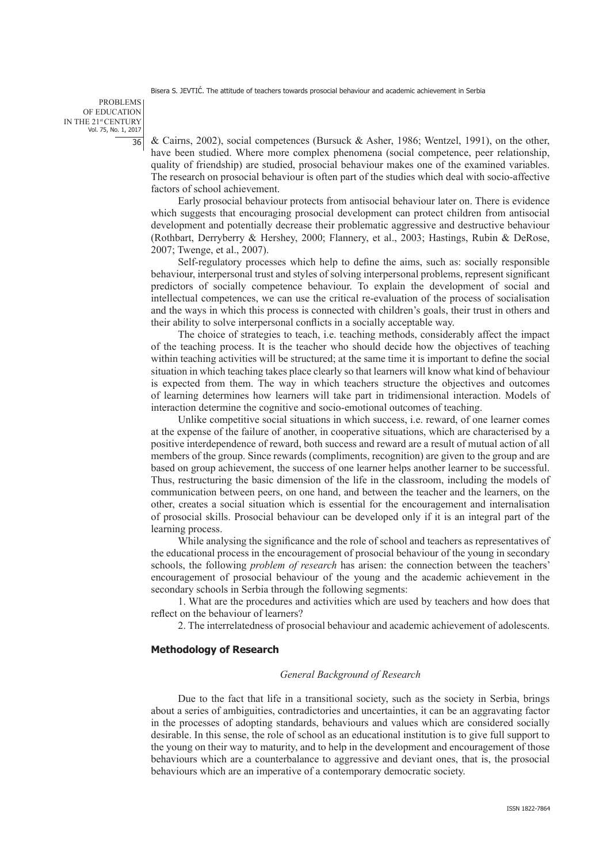PROBLEMS OF EDUCATION IN THE 21st CENTURY Vol. 75, No. 1, 2017  $\overline{36}$ 

& Cairns, 2002), social competences (Bursuck & Asher, 1986; Wentzel, 1991), on the other, have been studied. Where more complex phenomena (social competence, peer relationship, quality of friendship) are studied, prosocial behaviour makes one of the examined variables. The research on prosocial behaviour is often part of the studies which deal with socio-affective factors of school achievement.

Early prosocial behaviour protects from antisocial behaviour later on. There is evidence which suggests that encouraging prosocial development can protect children from antisocial development and potentially decrease their problematic aggressive and destructive behaviour (Rothbart, Derryberry & Hershey, 2000; Flannery, et al., 2003; Hastings, Rubin & DeRose, 2007; Twenge, et al., 2007).

Self-regulatory processes which help to define the aims, such as: socially responsible behaviour, interpersonal trust and styles of solving interpersonal problems, represent significant predictors of socially competence behaviour. To explain the development of social and intellectual competences, we can use the critical re-evaluation of the process of socialisation and the ways in which this process is connected with children's goals, their trust in others and their ability to solve interpersonal conflicts in a socially acceptable way.

The choice of strategies to teach, i.e. teaching methods, considerably affect the impact of the teaching process. It is the teacher who should decide how the objectives of teaching within teaching activities will be structured; at the same time it is important to define the social situation in which teaching takes place clearly so that learners will know what kind of behaviour is expected from them. The way in which teachers structure the objectives and outcomes of learning determines how learners will take part in tridimensional interaction. Models of interaction determine the cognitive and socio-emotional outcomes of teaching.

Unlike competitive social situations in which success, i.e. reward, of one learner comes at the expense of the failure of another, in cooperative situations, which are characterised by a positive interdependence of reward, both success and reward are a result of mutual action of all members of the group. Since rewards (compliments, recognition) are given to the group and are based on group achievement, the success of one learner helps another learner to be successful. Thus, restructuring the basic dimension of the life in the classroom, including the models of communication between peers, on one hand, and between the teacher and the learners, on the other, creates a social situation which is essential for the encouragement and internalisation of prosocial skills. Prosocial behaviour can be developed only if it is an integral part of the learning process.

While analysing the significance and the role of school and teachers as representatives of the educational process in the encouragement of prosocial behaviour of the young in secondary schools, the following *problem of research* has arisen: the connection between the teachers' encouragement of prosocial behaviour of the young and the academic achievement in the secondary schools in Serbia through the following segments:

1. What are the procedures and activities which are used by teachers and how does that reflect on the behaviour of learners?

2. The interrelatedness of prosocial behaviour and academic achievement of adolescents.

# **Methodology of Research**

#### *General Background of Research*

Due to the fact that life in a transitional society, such as the society in Serbia, brings about a series of ambiguities, contradictories and uncertainties, it can be an aggravating factor in the processes of adopting standards, behaviours and values which are considered socially desirable. In this sense, the role of school as an educational institution is to give full support to the young on their way to maturity, and to help in the development and encouragement of those behaviours which are a counterbalance to aggressive and deviant ones, that is, the prosocial behaviours which are an imperative of a contemporary democratic society.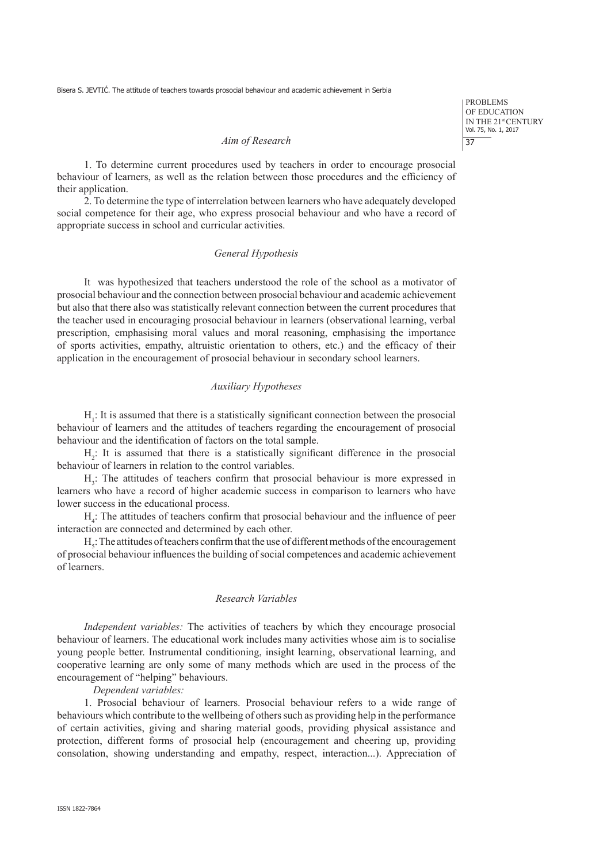PROBLEMS OF EDUCATION IN THE 21<sup>st</sup> CENTURY Vol. 75, No. 1, 2017 37

## *Aim of Research*

1. To determine current procedures used by teachers in order to encourage prosocial behaviour of learners, as well as the relation between those procedures and the efficiency of their application.

2. To determine the type of interrelation between learners who have adequately developed social competence for their age, who express prosocial behaviour and who have a record of appropriate success in school and curricular activities.

## *General Hypothesis*

It was hypothesized that teachers understood the role of the school as a motivator of prosocial behaviour and the connection between prosocial behaviour and academic achievement but also that there also was statistically relevant connection between the current procedures that the teacher used in encouraging prosocial behaviour in learners (observational learning, verbal prescription, emphasising moral values and moral reasoning, emphasising the importance of sports activities, empathy, altruistic orientation to others, etc.) and the efficacy of their application in the encouragement of prosocial behaviour in secondary school learners.

## *Auxiliary Hypotheses*

 $H<sub>1</sub>$ : It is assumed that there is a statistically significant connection between the prosocial behaviour of learners and the attitudes of teachers regarding the encouragement of prosocial behaviour and the identification of factors on the total sample.

 $H_2$ : It is assumed that there is a statistically significant difference in the prosocial behaviour of learners in relation to the control variables.

H<sub>3</sub>: The attitudes of teachers confirm that prosocial behaviour is more expressed in learners who have a record of higher academic success in comparison to learners who have lower success in the educational process.

 $H_4$ : The attitudes of teachers confirm that prosocial behaviour and the influence of peer interaction are connected and determined by each other.

 $H_s$ : The attitudes of teachers confirm that the use of different methods of the encouragement of prosocial behaviour influences the building of social competences and academic achievement of learners.

# *Research Variables*

*Independent variables:* The activities of teachers by which they encourage prosocial behaviour of learners. The educational work includes many activities whose aim is to socialise young people better. Instrumental conditioning, insight learning, observational learning, and cooperative learning are only some of many methods which are used in the process of the encouragement of "helping" behaviours.

#### *Dependent variables:*

1. Prosocial behaviour of learners. Prosocial behaviour refers to a wide range of behaviours which contribute to the wellbeing of others such as providing help in the performance of certain activities, giving and sharing material goods, providing physical assistance and protection, different forms of prosocial help (encouragement and cheering up, providing consolation, showing understanding and empathy, respect, interaction...). Appreciation of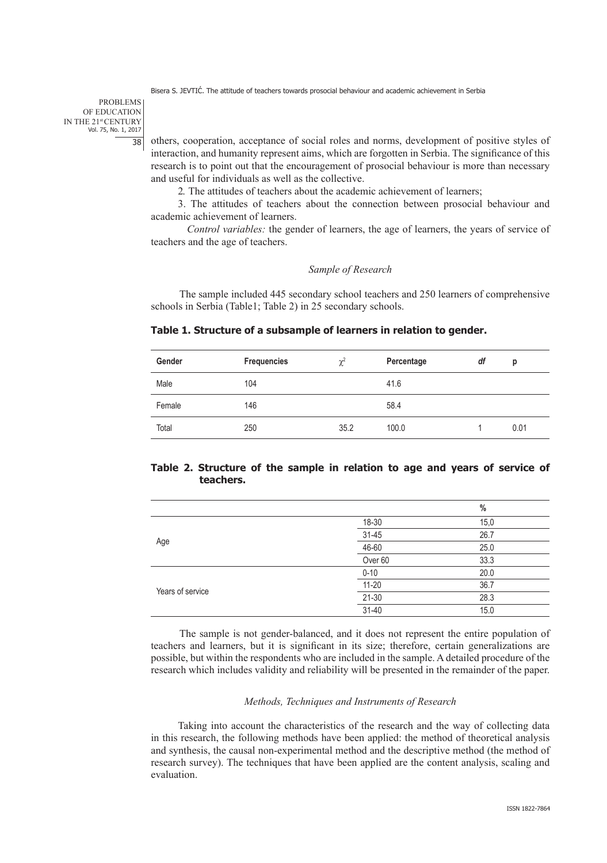PROBLEMS OF EDUCATION IN THE 21st CENTURY Vol. 75, No. 1, 2017 38

others, cooperation, acceptance of social roles and norms, development of positive styles of interaction, and humanity represent aims, which are forgotten in Serbia. The significance of this research is to point out that the encouragement of prosocial behaviour is more than necessary and useful for individuals as well as the collective.

2. The attitudes of teachers about the academic achievement of learners;

3. The attitudes of teachers about the connection between prosocial behaviour and academic achievement of learners.

*Control variables:* the gender of learners, the age of learners, the years of service of teachers and the age of teachers.

#### *Sample of Research*

The sample included 445 secondary school teachers and 250 learners of comprehensive schools in Serbia (Table1; Table 2) in 25 secondary schools.

## **Table 1. Structure of a subsample of learners in relation to gender.**

| Gender | <b>Frequencies</b> | $\chi^2$ | Percentage | df | p    |
|--------|--------------------|----------|------------|----|------|
| Male   | 104                |          | 41.6       |    |      |
| Female | 146                |          | 58.4       |    |      |
| Total  | 250                | 35.2     | 100.0      |    | 0.01 |

## **Table 2. Structure of the sample in relation to age and years of service of teachers.**

|                  |           | $\%$ |
|------------------|-----------|------|
|                  | 18-30     | 15,0 |
|                  | $31 - 45$ | 26.7 |
| Age              | 46-60     | 25.0 |
|                  | Over 60   | 33.3 |
| Years of service | $0 - 10$  | 20.0 |
|                  | $11 - 20$ | 36.7 |
|                  | $21 - 30$ | 28.3 |
|                  | $31 - 40$ | 15.0 |

The sample is not gender-balanced, and it does not represent the entire population of teachers and learners, but it is significant in its size; therefore, certain generalizations are possible, but within the respondents who are included in the sample. A detailed procedure of the research which includes validity and reliability will be presented in the remainder of the paper.

#### *Methods, Techniques and Instruments of Research*

Taking into account the characteristics of the research and the way of collecting data in this research, the following methods have been applied: the method of theoretical analysis and synthesis, the causal non-experimental method and the descriptive method (the method of research survey). The techniques that have been applied are the content analysis, scaling and evaluation.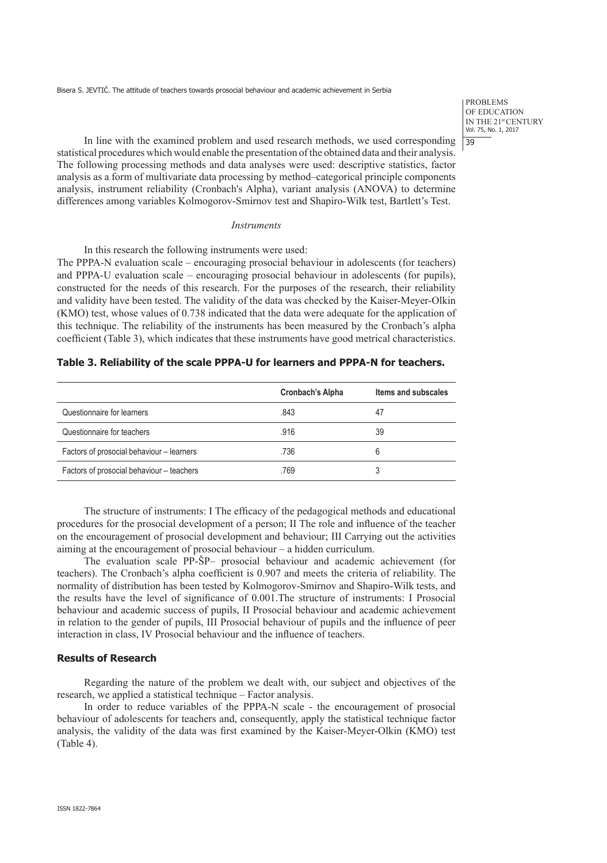PROBLEMS OF EDUCATION IN THE 21<sup>st</sup> CENTURY Vol. 75, No. 1, 2017 39

In line with the examined problem and used research methods, we used corresponding statistical procedures which would enable the presentation of the obtained data and their analysis. The following processing methods and data analyses were used: descriptive statistics, factor analysis as a form of multivariate data processing by method–categorical principle components analysis, instrument reliability (Cronbach's Alpha), variant analysis (ANOVA) to determine differences among variables Kolmogorov-Smirnov test and Shapiro-Wilk test, Bartlett's Test.

## *Instruments*

In this research the following instruments were used: The PPPA-N evaluation scale – encouraging prosocial behaviour in adolescents (for teachers) and PPPA-U evaluation scale – encouraging prosocial behaviour in adolescents (for pupils), constructed for the needs of this research. For the purposes of the research, their reliability and validity have been tested. The validity of the data was checked by the Kaiser-Meyer-Olkin (KMO) test, whose values of 0.738 indicated that the data were adequate for the application of this technique. The reliability of the instruments has been measured by the Cronbach's alpha coefficient (Table 3), which indicates that these instruments have good metrical characteristics.

#### **Table 3. Reliability of the scale PPPA-U for learners and PPPA-N for teachers.**

|                                           | <b>Cronbach's Alpha</b> | Items and subscales |
|-------------------------------------------|-------------------------|---------------------|
| Questionnaire for learners                | .843                    | 47                  |
| Questionnaire for teachers                | .916                    | 39                  |
| Factors of prosocial behaviour - learners | .736                    | 6                   |
| Factors of prosocial behaviour - teachers | .769                    | 3                   |

The structure of instruments: I The efficacy of the pedagogical methods and educational procedures for the prosocial development of a person; II The role and influence of the teacher on the encouragement of prosocial development and behaviour; III Carrying out the activities aiming at the encouragement of prosocial behaviour – a hidden curriculum.

The evaluation scale PP-ŠP– prosocial behaviour and academic achievement (for teachers). The Cronbach's alpha coefficient is 0.907 and meets the criteria of reliability. The normality of distribution has been tested by Kolmogorov-Smirnov and Shapiro-Wilk tests, and the results have the level of significance of 0.001.The structure of instruments: I Prosocial behaviour and academic success of pupils, II Prosocial behaviour and academic achievement in relation to the gender of pupils, III Prosocial behaviour of pupils and the influence of peer interaction in class, IV Prosocial behaviour and the influence of teachers.

#### **Results of Research**

Regarding the nature of the problem we dealt with, our subject and objectives of the research, we applied a statistical technique – Factor analysis.

In order to reduce variables of the PPPA-N scale - the encouragement of prosocial behaviour of adolescents for teachers and, consequently, apply the statistical technique factor analysis, the validity of the data was first examined by the Kaiser-Meyer-Olkin (KMO) test (Table 4).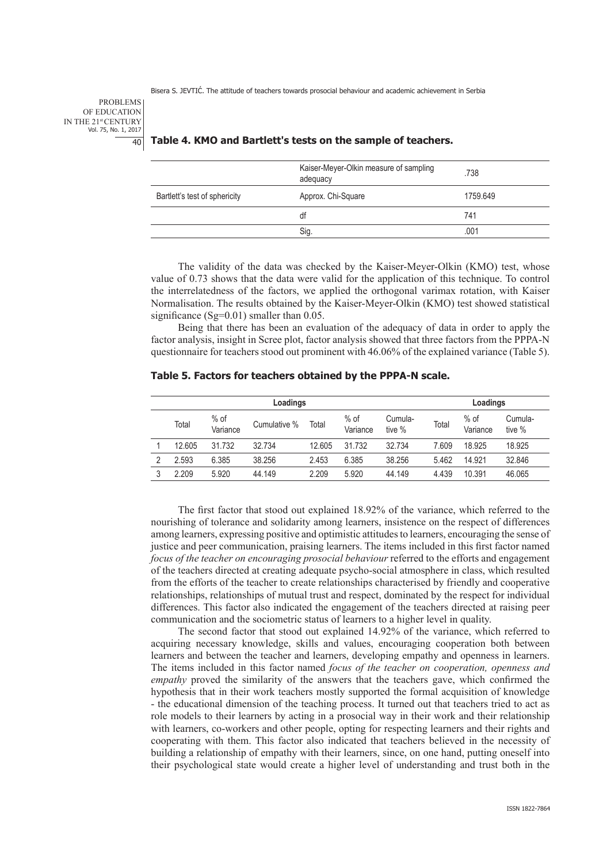PROBLEMS OF EDUCATION IN THE 21st CENTURY Vol. 75, No. 1, 2017  $40$ 

## **Table 4. KMO and Bartlett's tests on the sample of teachers.**

|                               | Kaiser-Meyer-Olkin measure of sampling<br>adequacy | .738     |
|-------------------------------|----------------------------------------------------|----------|
| Bartlett's test of sphericity | Approx. Chi-Square                                 | 1759.649 |
|                               | df                                                 | 741      |
|                               | Sig.                                               | .001     |

The validity of the data was checked by the Kaiser-Meyer-Olkin (KMO) test, whose value of 0.73 shows that the data were valid for the application of this technique. To control the interrelatedness of the factors, we applied the orthogonal varimax rotation, with Kaiser Normalisation. The results obtained by the Kaiser-Meyer-Olkin (KMO) test showed statistical significance (Sg= $0.01$ ) smaller than 0.05.

Being that there has been an evaluation of the adequacy of data in order to apply the factor analysis, insight in Scree plot, factor analysis showed that three factors from the PPPA-N questionnaire for teachers stood out prominent with 46.06% of the explained variance (Table 5).

## **Table 5. Factors for teachers obtained by the PPPA-N scale.**

|   | Loadings |                    |              |        |                    |                   |       | Loadings           |                   |  |
|---|----------|--------------------|--------------|--------|--------------------|-------------------|-------|--------------------|-------------------|--|
|   | Total    | $%$ of<br>Variance | Cumulative % | Total  | $%$ of<br>Variance | Cumula-<br>tive % | Total | $%$ of<br>Variance | Cumula-<br>tive % |  |
|   | 12.605   | 31.732             | 32.734       | 12.605 | 31.732             | 32.734            | 7.609 | 18.925             | 18.925            |  |
| 2 | 2.593    | 6.385              | 38.256       | 2.453  | 6.385              | 38.256            | 5.462 | 14.921             | 32.846            |  |
|   | 2.209    | 5.920              | 44.149       | 2.209  | 5.920              | 44.149            | 4.439 | 10.391             | 46.065            |  |

The first factor that stood out explained 18.92% of the variance, which referred to the nourishing of tolerance and solidarity among learners, insistence on the respect of differences among learners, expressing positive and optimistic attitudes to learners, encouraging the sense of justice and peer communication, praising learners. The items included in this first factor named *focus of the teacher on encouraging prosocial behaviour referred to the efforts and engagement* of the teachers directed at creating adequate psycho-social atmosphere in class, which resulted from the efforts of the teacher to create relationships characterised by friendly and cooperative relationships, relationships of mutual trust and respect, dominated by the respect for individual differences. This factor also indicated the engagement of the teachers directed at raising peer communication and the sociometric status of learners to a higher level in quality.

The second factor that stood out explained 14.92% of the variance, which referred to acquiring necessary knowledge, skills and values, encouraging cooperation both between learners and between the teacher and learners, developing empathy and openness in learners. The items included in this factor named *focus of the teacher on cooperation, openness and empathy* proved the similarity of the answers that the teachers gave, which confirmed the hypothesis that in their work teachers mostly supported the formal acquisition of knowledge - the educational dimension of the teaching process. It turned out that teachers tried to act as role models to their learners by acting in a prosocial way in their work and their relationship with learners, co-workers and other people, opting for respecting learners and their rights and cooperating with them. This factor also indicated that teachers believed in the necessity of building a relationship of empathy with their learners, since, on one hand, putting oneself into their psychological state would create a higher level of understanding and trust both in the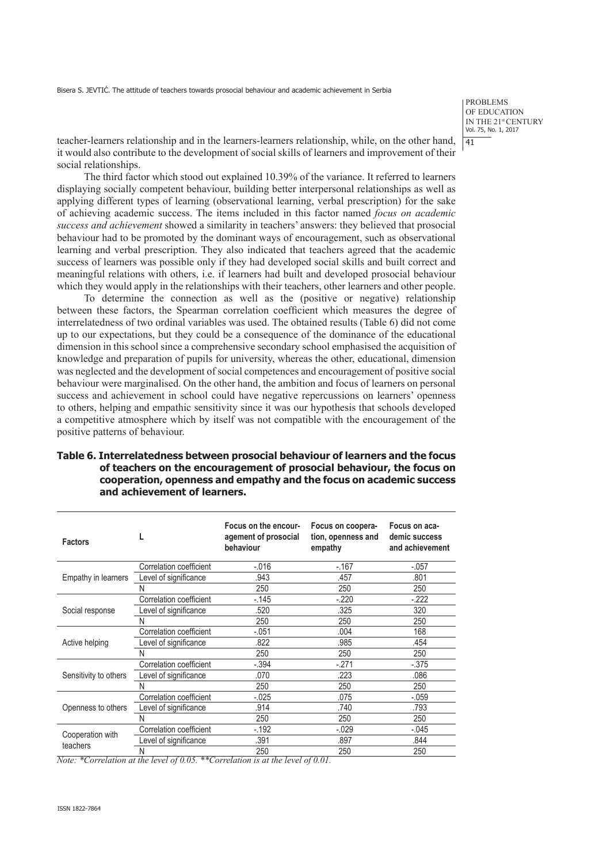PROBLEMS OF EDUCATION IN THE 21st CENTURY Vol. 75, No. 1, 2017 41

teacher-learners relationship and in the learners-learners relationship, while, on the other hand, it would also contribute to the development of social skills of learners and improvement of their social relationships.

The third factor which stood out explained 10.39% of the variance. It referred to learners displaying socially competent behaviour, building better interpersonal relationships as well as applying different types of learning (observational learning, verbal prescription) for the sake of achieving academic success. The items included in this factor named *focus on academic success and achievement* showed a similarity in teachers' answers: they believed that prosocial behaviour had to be promoted by the dominant ways of encouragement, such as observational learning and verbal prescription. They also indicated that teachers agreed that the academic success of learners was possible only if they had developed social skills and built correct and meaningful relations with others, i.e. if learners had built and developed prosocial behaviour which they would apply in the relationships with their teachers, other learners and other people.

To determine the connection as well as the (positive or negative) relationship between these factors, the Spearman correlation coefficient which measures the degree of interrelatedness of two ordinal variables was used. The obtained results (Table 6) did not come up to our expectations, but they could be a consequence of the dominance of the educational dimension in this school since a comprehensive secondary school emphasised the acquisition of knowledge and preparation of pupils for university, whereas the other, educational, dimension was neglected and the development of social competences and encouragement of positive social behaviour were marginalised. On the other hand, the ambition and focus of learners on personal success and achievement in school could have negative repercussions on learners' openness to others, helping and empathic sensitivity since it was our hypothesis that schools developed a competitive atmosphere which by itself was not compatible with the encouragement of the positive patterns of behaviour.

| Table 6. Interrelatedness between prosocial behaviour of learners and the focus |
|---------------------------------------------------------------------------------|
| of teachers on the encouragement of prosocial behaviour, the focus on           |
| cooperation, openness and empathy and the focus on academic success             |
| and achievement of learners.                                                    |

| <b>Factors</b>        |                         | Focus on the encour-<br>agement of prosocial<br>behaviour | Focus on coopera-<br>tion, openness and<br>empathy | Focus on aca-<br>demic success<br>and achievement |
|-----------------------|-------------------------|-----------------------------------------------------------|----------------------------------------------------|---------------------------------------------------|
|                       | Correlation coefficient | $-0.016$                                                  | $-.167$                                            | $-.057$                                           |
| Empathy in learners   | Level of significance   | .943                                                      | .457                                               | .801                                              |
|                       | Ν                       | 250                                                       | 250                                                | 250                                               |
|                       | Correlation coefficient | $-145$                                                    | $-.220$                                            | $-222$                                            |
| Social response       | Level of significance   | .520                                                      | .325                                               | 320                                               |
|                       | N                       | 250                                                       | 250                                                | 250                                               |
|                       | Correlation coefficient | $-.051$                                                   | .004                                               | 168                                               |
| Active helping        | Level of significance   | .822                                                      | .985                                               | .454                                              |
|                       | Ν                       | 250                                                       | 250                                                | 250                                               |
|                       | Correlation coefficient | $-.394$                                                   | $-271$                                             | $-.375$                                           |
| Sensitivity to others | Level of significance   | .070                                                      | .223                                               | .086                                              |
|                       | Ν                       | 250                                                       | 250                                                | 250                                               |
|                       | Correlation coefficient | $-.025$                                                   | .075                                               | $-.059$                                           |
| Openness to others    | Level of significance   | .914                                                      | .740                                               | .793                                              |
|                       | N                       | 250                                                       | 250                                                | 250                                               |
|                       | Correlation coefficient | $-.192$                                                   | $-0.029$                                           | $-.045$                                           |
| Cooperation with      | Level of significance   | .391                                                      | .897                                               | .844                                              |
| teachers              | Ν                       | 250                                                       | 250                                                | 250                                               |

*Note: \*Correlation at the level of 0.05. \*\*Correlation is at the level of 0.01.*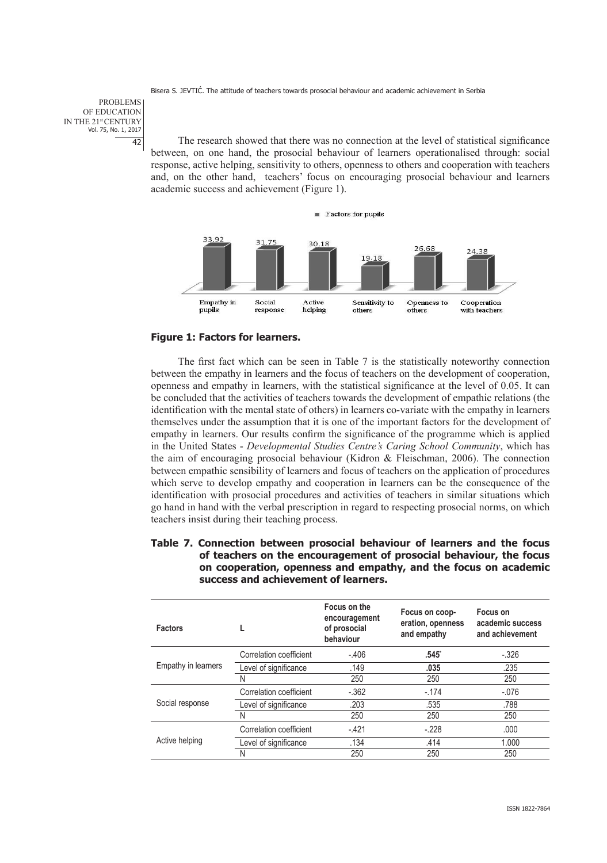PROBLEMS OF EDUCATION IN THE 21st CENTURY Vol. 75, No. 1, 2017 42

The research showed that there was no connection at the level of statistical significance between, on one hand, the prosocial behaviour of learners operationalised through: social response, active helping, sensitivity to others, openness to others and cooperation with teachers and, on the other hand, teachers' focus on encouraging prosocial behaviour and learners academic success and achievement (Figure 1).



# **Figure 1: Factors for learners.**

The first fact which can be seen in Table 7 is the statistically noteworthy connection between the empathy in learners and the focus of teachers on the development of cooperation, openness and empathy in learners, with the statistical significance at the level of 0.05. It can be concluded that the activities of teachers towards the development of empathic relations (the identification with the mental state of others) in learners co-variate with the empathy in learners themselves under the assumption that it is one of the important factors for the development of empathy in learners. Our results confirm the significance of the programme which is applied in the United States - *Developmental Studies Centre's Caring School Community*, which has the aim of encouraging prosocial behaviour (Kidron & Fleischman, 2006). The connection between empathic sensibility of learners and focus of teachers on the application of procedures which serve to develop empathy and cooperation in learners can be the consequence of the identification with prosocial procedures and activities of teachers in similar situations which go hand in hand with the verbal prescription in regard to respecting prosocial norms, on which teachers insist during their teaching process.

**Table 7. Connection between prosocial behaviour of learners and the focus of teachers on the encouragement of prosocial behaviour, the focus on cooperation, openness and empathy, and the focus on academic success and achievement of learners.** 

| <b>Factors</b>      |                         | Focus on the<br>encouragement<br>of prosocial<br>behaviour | Focus on coop-<br>eration, openness<br>and empathy | Focus on<br>academic success<br>and achievement |
|---------------------|-------------------------|------------------------------------------------------------|----------------------------------------------------|-------------------------------------------------|
|                     | Correlation coefficient | $-.406$                                                    | .545                                               | $-.326$                                         |
| Empathy in learners | Level of significance   | .149                                                       | .035                                               | .235                                            |
|                     | N                       | 250                                                        | 250                                                | 250                                             |
|                     | Correlation coefficient | $-.362$                                                    | $-.174$                                            | $-.076$                                         |
| Social response     | Level of significance   | .203                                                       | .535                                               | .788                                            |
|                     | N                       | 250                                                        | 250                                                | 250                                             |
|                     | Correlation coefficient | $-.421$                                                    | $-.228$                                            | .000                                            |
| Active helping      | Level of significance   | .134                                                       | .414                                               | 1.000                                           |
|                     | N                       | 250                                                        | 250                                                | 250                                             |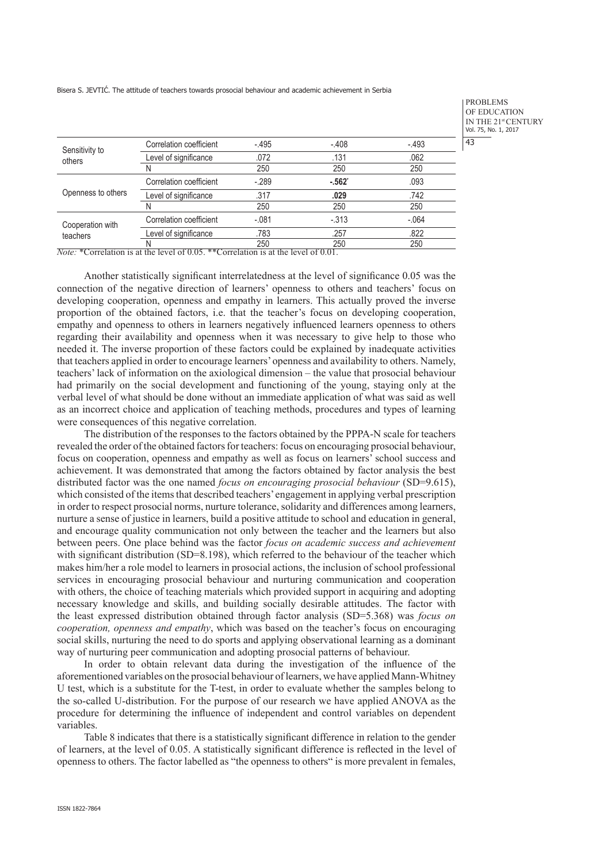|                              |                         |         |          |         | $\prod_{\mathsf{V}\mathsf{G}}% {\color[rgb]{0.8,0.3,0} 0} \sum_{\mathsf{V}\mathsf{G}}% {\color[rgb]{0.8,0.3,0} 0} \sum_{\mathsf{V}\mathsf{G}}% {\color[rgb]{0.8,0.3,0} 0} \sum_{\mathsf{V}\mathsf{G}}% {\color[rgb]{0.8,0.3,0} 0} \sum_{\mathsf{V}\mathsf{G}}% {\color[rgb]{0.8,0.3,0} 0} \sum_{\mathsf{V}\mathsf{G}}% {\color[rgb]{0.8,0.3,0} 0} \sum_{\mathsf{V}\mathsf{G}}% {\color[rgb]{0.$ |
|------------------------------|-------------------------|---------|----------|---------|-------------------------------------------------------------------------------------------------------------------------------------------------------------------------------------------------------------------------------------------------------------------------------------------------------------------------------------------------------------------------------------------------|
|                              | Correlation coefficient | $-.495$ | $-.408$  | $-.493$ | $\overline{4}$                                                                                                                                                                                                                                                                                                                                                                                  |
| Sensitivity to<br>others     | Level of significance   | .072    | .131     | .062    |                                                                                                                                                                                                                                                                                                                                                                                                 |
|                              | N                       | 250     | 250      | 250     |                                                                                                                                                                                                                                                                                                                                                                                                 |
|                              | Correlation coefficient | $-289$  | $-.562"$ | .093    |                                                                                                                                                                                                                                                                                                                                                                                                 |
| Openness to others           | Level of significance   | .317    | .029     | .742    |                                                                                                                                                                                                                                                                                                                                                                                                 |
|                              | N                       | 250     | 250      | 250     |                                                                                                                                                                                                                                                                                                                                                                                                 |
| Cooperation with<br>teachers | Correlation coefficient | $-.081$ | $-.313$  | $-.064$ |                                                                                                                                                                                                                                                                                                                                                                                                 |
|                              | Level of significance   | .783    | .257     | .822    |                                                                                                                                                                                                                                                                                                                                                                                                 |
|                              | N                       | 250     | 250      | 250     |                                                                                                                                                                                                                                                                                                                                                                                                 |

PROBLEMS OF EDUCATION N THE 21<sup>st</sup> CENTURY vol. 75, No. 1, 2017  $\overline{3}$ 

*Note:* \*Correlation is at the level of 0.05. \*\*Correlation is at the level of 0.01.

Another statistically significant interrelatedness at the level of significance 0.05 was the connection of the negative direction of learners' openness to others and teachers' focus on developing cooperation, openness and empathy in learners. This actually proved the inverse proportion of the obtained factors, i.e. that the teacher's focus on developing cooperation, empathy and openness to others in learners negatively influenced learners openness to others regarding their availability and openness when it was necessary to give help to those who needed it. The inverse proportion of these factors could be explained by inadequate activities that teachers applied in order to encourage learners' openness and availability to others. Namely, teachers' lack of information on the axiological dimension – the value that prosocial behaviour had primarily on the social development and functioning of the young, staying only at the verbal level of what should be done without an immediate application of what was said as well as an incorrect choice and application of teaching methods, procedures and types of learning were consequences of this negative correlation.

The distribution of the responses to the factors obtained by the PPPA-N scale for teachers revealed the order of the obtained factors for teachers: focus on encouraging prosocial behaviour, focus on cooperation, openness and empathy as well as focus on learners' school success and achievement. It was demonstrated that among the factors obtained by factor analysis the best distributed factor was the one named *focus on encouraging prosocial behaviour* (SD=9.615), which consisted of the items that described teachers' engagement in applying verbal prescription in order to respect prosocial norms, nurture tolerance, solidarity and differences among learners, nurture a sense of justice in learners, build a positive attitude to school and education in general, and encourage quality communication not only between the teacher and the learners but also between peers. One place behind was the factor *focus on academic success and achievement*  with significant distribution  $(SD=8.198)$ , which referred to the behaviour of the teacher which makes him/her a role model to learners in prosocial actions, the inclusion of school professional services in encouraging prosocial behaviour and nurturing communication and cooperation with others, the choice of teaching materials which provided support in acquiring and adopting necessary knowledge and skills, and building socially desirable attitudes. The factor with the least expressed distribution obtained through factor analysis (SD=5.368) was *focus on cooperation, openness and empathy*, which was based on the teacher's focus on encouraging social skills, nurturing the need to do sports and applying observational learning as a dominant way of nurturing peer communication and adopting prosocial patterns of behaviour.

In order to obtain relevant data during the investigation of the influence of the aforementioned variables on the prosocial behaviour of learners, we have applied Mann-Whitney U test, which is a substitute for the T-test, in order to evaluate whether the samples belong to the so-called U-distribution. For the purpose of our research we have applied ANOVA as the procedure for determining the influence of independent and control variables on dependent variables.

Table 8 indicates that there is a statistically significant difference in relation to the gender of learners, at the level of 0.05. A statistically significant difference is reflected in the level of openness to others. The factor labelled as "the openness to others" is more prevalent in females,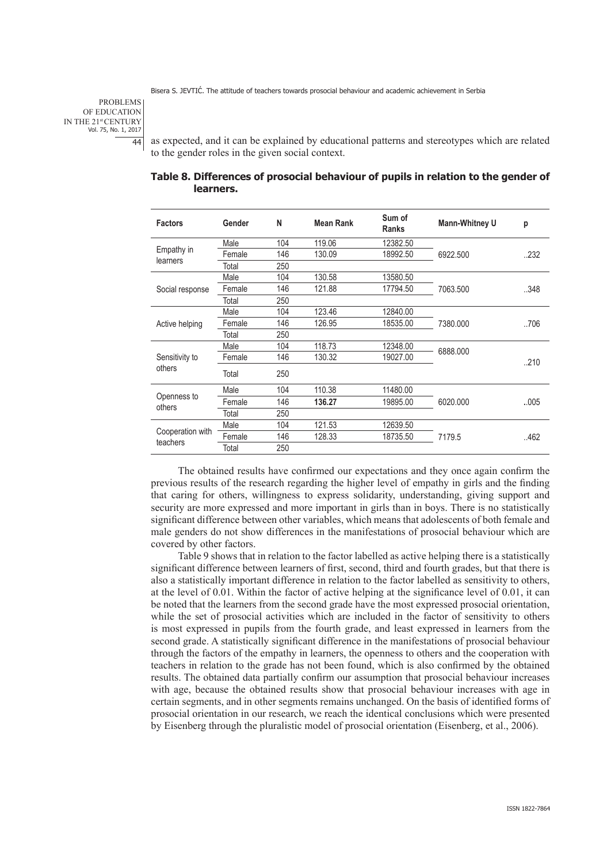PROBLEMS OF EDUCATION IN THE 21st CENTURY Vol. 75, No. 1, 2017 44

as expected, and it can be explained by educational patterns and stereotypes which are related to the gender roles in the given social context.

| <b>Factors</b>   | Gender | N   | <b>Mean Rank</b> | Sum of<br><b>Ranks</b> | <b>Mann-Whitney U</b> | p    |
|------------------|--------|-----|------------------|------------------------|-----------------------|------|
|                  | Male   | 104 | 119.06           | 12382.50               |                       |      |
| Empathy in       | Female | 146 | 130.09           | 18992.50               | 6922.500              | 232  |
| learners         | Total  | 250 |                  |                        |                       |      |
|                  | Male   | 104 | 130.58           | 13580.50               |                       |      |
| Social response  | Female | 146 | 121.88           | 17794.50               | 7063.500              | 348  |
|                  | Total  | 250 |                  |                        |                       |      |
| Active helping   | Male   | 104 | 123.46           | 12840.00               |                       |      |
|                  | Female | 146 | 126.95           | 18535.00               | 7380.000              | 706  |
|                  | Total  | 250 |                  |                        |                       |      |
|                  | Male   | 104 | 118.73           | 12348.00               | 6888.000              |      |
| Sensitivity to   | Female | 146 | 130.32           | 19027.00               |                       | 210  |
| others           | Total  | 250 |                  |                        |                       |      |
|                  | Male   | 104 | 110.38           | 11480.00               |                       |      |
| Openness to      | Female | 146 | 136.27           | 19895.00               | 6020,000              | 005  |
| others           | Total  | 250 |                  |                        |                       |      |
|                  | Male   | 104 | 121.53           | 12639.50               |                       |      |
| Cooperation with | Female | 146 | 128.33           | 18735.50               | 7179.5                | .462 |
| teachers         | Total  | 250 |                  |                        |                       |      |

**Table 8. Differences of prosocial behaviour of pupils in relation to the gender of learners.**

The obtained results have confirmed our expectations and they once again confirm the previous results of the research regarding the higher level of empathy in girls and the finding that caring for others, willingness to express solidarity, understanding, giving support and security are more expressed and more important in girls than in boys. There is no statistically significant difference between other variables, which means that adolescents of both female and male genders do not show differences in the manifestations of prosocial behaviour which are covered by other factors.

Table 9 shows that in relation to the factor labelled as active helping there is a statistically significant difference between learners of first, second, third and fourth grades, but that there is also a statistically important difference in relation to the factor labelled as sensitivity to others, at the level of 0.01. Within the factor of active helping at the significance level of 0.01, it can be noted that the learners from the second grade have the most expressed prosocial orientation, while the set of prosocial activities which are included in the factor of sensitivity to others is most expressed in pupils from the fourth grade, and least expressed in learners from the second grade. A statistically significant difference in the manifestations of prosocial behaviour through the factors of the empathy in learners, the openness to others and the cooperation with teachers in relation to the grade has not been found, which is also confirmed by the obtained results. The obtained data partially confirm our assumption that prosocial behaviour increases with age, because the obtained results show that prosocial behaviour increases with age in certain segments, and in other segments remains unchanged. On the basis of identified forms of prosocial orientation in our research, we reach the identical conclusions which were presented by Eisenberg through the pluralistic model of prosocial orientation (Eisenberg, et al., 2006).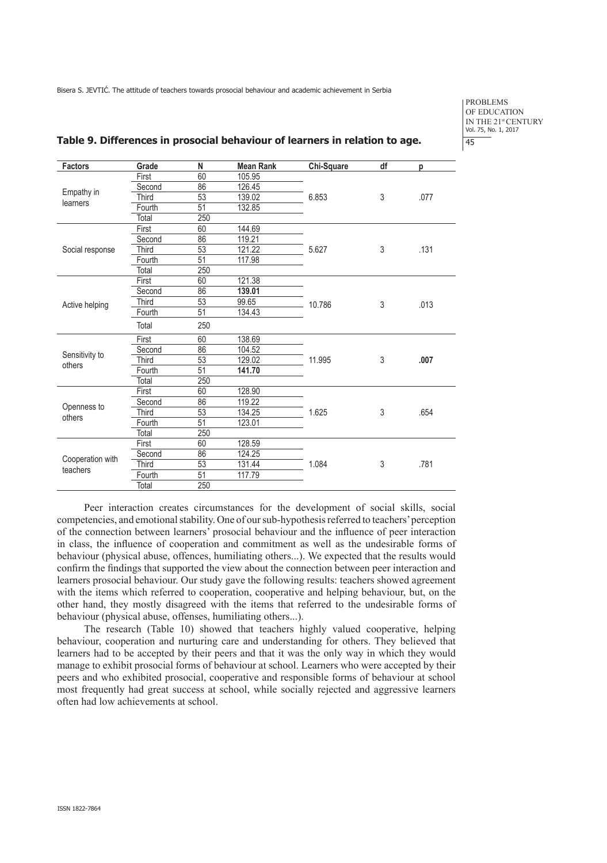PROBLEMS OF EDUCATION IN THE 21<sup>st</sup> CENTURY Vol. 75, No. 1, 2017 45

| <b>Factors</b>        | Grade        | N                | <b>Mean Rank</b> | Chi-Square | df         | p    |
|-----------------------|--------------|------------------|------------------|------------|------------|------|
| Empathy in            | First        | 60               | 105.95           |            |            |      |
|                       | Second       | 86               | 126.45           |            |            |      |
|                       | <b>Third</b> | $\overline{53}$  | 139.02           | 6.853      | 3          | .077 |
| learners              | Fourth       | 51               | 132.85           |            |            |      |
|                       | Total        | 250              |                  |            |            |      |
|                       | First        | 60               | 144.69           |            |            |      |
|                       | Second       | $\overline{86}$  | 119.21           |            |            |      |
| Social response       | Third        | $\overline{53}$  | 121.22           | 5.627      | 3          | .131 |
|                       | Fourth       | $\overline{51}$  | 117.98           |            |            |      |
|                       | Total        | 250              |                  |            |            |      |
|                       | First        | 60               | 121.38           |            |            |      |
|                       | Second       | 86               | 139.01           |            |            |      |
| Active helping        | <b>Third</b> | 53               | 99.65            | 10.786     | 3          | .013 |
|                       | Fourth       | $\overline{51}$  | 134.43           |            |            |      |
|                       | Total        | 250              |                  |            |            |      |
|                       | First        | 60               | 138.69           |            |            |      |
|                       | Second       | 86               | 104.52           |            | 3          |      |
| Sensitivity to        | Third        | 53               | 129.02           | 11.995     |            | .007 |
| others                | Fourth       | $\overline{51}$  | 141.70           |            |            |      |
|                       | Total        | $\overline{250}$ |                  |            |            |      |
|                       | First        | 60               | 128.90           |            |            |      |
|                       | Second       | $\overline{86}$  | 119.22           |            |            |      |
| Openness to<br>others | Third        | $\overline{53}$  | 134.25           | 1.625      | $\sqrt{3}$ | .654 |
|                       | Fourth       | $\overline{51}$  | 123.01           |            |            |      |
|                       | Total        | 250              |                  |            |            |      |
|                       | First        | 60               | 128.59           |            |            |      |
| Cooperation with      | Second       | 86               | 124.25           |            | 3          |      |
| teachers              | Third        | $\overline{53}$  | 131.44           | 1.084      |            | .781 |
|                       | Fourth       | 51               | 117.79           |            |            |      |
|                       | Total        | 250              |                  |            |            |      |

#### **Table 9. Differences in prosocial behaviour of learners in relation to age.**

Peer interaction creates circumstances for the development of social skills, social competencies, and emotional stability. One of our sub-hypothesis referred to teachers' perception of the connection between learners' prosocial behaviour and the influence of peer interaction in class, the influence of cooperation and commitment as well as the undesirable forms of behaviour (physical abuse, offences, humiliating others...). We expected that the results would confirm the findings that supported the view about the connection between peer interaction and learners prosocial behaviour. Our study gave the following results: teachers showed agreement with the items which referred to cooperation, cooperative and helping behaviour, but, on the other hand, they mostly disagreed with the items that referred to the undesirable forms of behaviour (physical abuse, offenses, humiliating others...).

The research (Table 10) showed that teachers highly valued cooperative, helping behaviour, cooperation and nurturing care and understanding for others. They believed that learners had to be accepted by their peers and that it was the only way in which they would manage to exhibit prosocial forms of behaviour at school. Learners who were accepted by their peers and who exhibited prosocial, cooperative and responsible forms of behaviour at school most frequently had great success at school, while socially rejected and aggressive learners often had low achievements at school.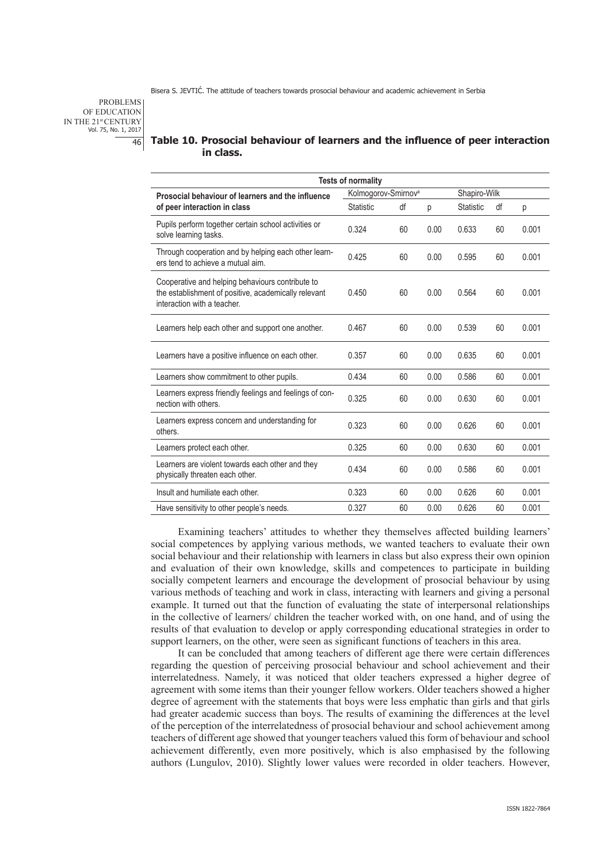PROBLEMS OF EDUCATION IN THE 21st CENTURY Vol. 75, No. 1, 2017 46

# **Table 10. Prosocial behaviour of learners and the influence of peer interaction in class.**

| <b>Tests of normality</b>                                                                                                               |                                 |    |      |              |    |       |  |  |
|-----------------------------------------------------------------------------------------------------------------------------------------|---------------------------------|----|------|--------------|----|-------|--|--|
| Prosocial behaviour of learners and the influence                                                                                       | Kolmogorov-Smirnov <sup>a</sup> |    |      | Shapiro-Wilk |    |       |  |  |
| of peer interaction in class                                                                                                            | <b>Statistic</b>                | df | р    | Statistic    | df | р     |  |  |
| Pupils perform together certain school activities or<br>solve learning tasks.                                                           | 0.324                           | 60 | 0.00 | 0.633        | 60 | 0.001 |  |  |
| Through cooperation and by helping each other learn-<br>ers tend to achieve a mutual aim.                                               | 0.425                           | 60 | 0.00 | 0.595        | 60 | 0.001 |  |  |
| Cooperative and helping behaviours contribute to<br>the establishment of positive, academically relevant<br>interaction with a teacher. | 0.450                           | 60 | 0.00 | 0.564        | 60 | 0.001 |  |  |
| Learners help each other and support one another.                                                                                       | 0.467                           | 60 | 0.00 | 0.539        | 60 | 0.001 |  |  |
| Learners have a positive influence on each other.                                                                                       | 0.357                           | 60 | 0.00 | 0.635        | 60 | 0.001 |  |  |
| Learners show commitment to other pupils.                                                                                               | 0.434                           | 60 | 0.00 | 0.586        | 60 | 0.001 |  |  |
| Learners express friendly feelings and feelings of con-<br>nection with others.                                                         | 0.325                           | 60 | 0.00 | 0.630        | 60 | 0.001 |  |  |
| Learners express concern and understanding for<br>others.                                                                               | 0.323                           | 60 | 0.00 | 0.626        | 60 | 0.001 |  |  |
| Learners protect each other.                                                                                                            | 0.325                           | 60 | 0.00 | 0.630        | 60 | 0.001 |  |  |
| Learners are violent towards each other and they<br>physically threaten each other.                                                     | 0.434                           | 60 | 0.00 | 0.586        | 60 | 0.001 |  |  |
| Insult and humiliate each other.                                                                                                        | 0.323                           | 60 | 0.00 | 0.626        | 60 | 0.001 |  |  |
| Have sensitivity to other people's needs.                                                                                               | 0.327                           | 60 | 0.00 | 0.626        | 60 | 0.001 |  |  |

Examining teachers' attitudes to whether they themselves affected building learners' social competences by applying various methods, we wanted teachers to evaluate their own social behaviour and their relationship with learners in class but also express their own opinion and evaluation of their own knowledge, skills and competences to participate in building socially competent learners and encourage the development of prosocial behaviour by using various methods of teaching and work in class, interacting with learners and giving a personal example. It turned out that the function of evaluating the state of interpersonal relationships in the collective of learners/ children the teacher worked with, on one hand, and of using the results of that evaluation to develop or apply corresponding educational strategies in order to support learners, on the other, were seen as significant functions of teachers in this area.

It can be concluded that among teachers of different age there were certain differences regarding the question of perceiving prosocial behaviour and school achievement and their interrelatedness. Namely, it was noticed that older teachers expressed a higher degree of agreement with some items than their younger fellow workers. Older teachers showed a higher degree of agreement with the statements that boys were less emphatic than girls and that girls had greater academic success than boys. The results of examining the differences at the level of the perception of the interrelatedness of prosocial behaviour and school achievement among teachers of different age showed that younger teachers valued this form of behaviour and school achievement differently, even more positively, which is also emphasised by the following authors (Lungulov, 2010). Slightly lower values were recorded in older teachers. However,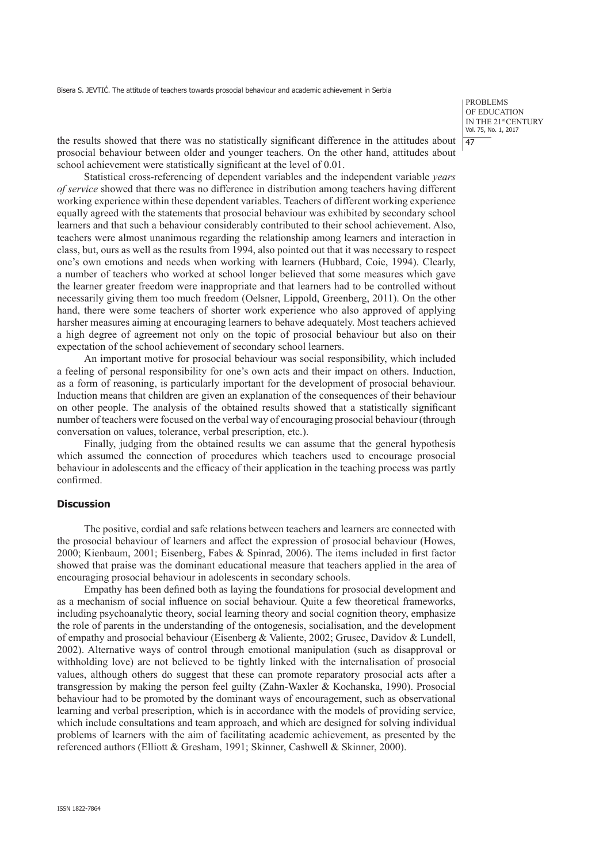PROBLEMS OF EDUCATION IN THE 21st CENTURY Vol. 75, No. 1, 2017 47

the results showed that there was no statistically significant difference in the attitudes about prosocial behaviour between older and younger teachers. On the other hand, attitudes about school achievement were statistically significant at the level of 0.01.

Statistical cross-referencing of dependent variables and the independent variable *years of service* showed that there was no difference in distribution among teachers having different working experience within these dependent variables. Teachers of different working experience equally agreed with the statements that prosocial behaviour was exhibited by secondary school learners and that such a behaviour considerably contributed to their school achievement. Also, teachers were almost unanimous regarding the relationship among learners and interaction in class, but, ours as well as the results from 1994, also pointed out that it was necessary to respect one's own emotions and needs when working with learners (Hubbard, Coie, 1994). Clearly, a number of teachers who worked at school longer believed that some measures which gave the learner greater freedom were inappropriate and that learners had to be controlled without necessarily giving them too much freedom (Oelsner, Lippold, Greenberg, 2011). On the other hand, there were some teachers of shorter work experience who also approved of applying harsher measures aiming at encouraging learners to behave adequately. Most teachers achieved a high degree of agreement not only on the topic of prosocial behaviour but also on their expectation of the school achievement of secondary school learners.

An important motive for prosocial behaviour was social responsibility, which included a feeling of personal responsibility for one's own acts and their impact on others. Induction, as a form of reasoning, is particularly important for the development of prosocial behaviour. Induction means that children are given an explanation of the consequences of their behaviour on other people. The analysis of the obtained results showed that a statistically significant number of teachers were focused on the verbal way of encouraging prosocial behaviour (through conversation on values, tolerance, verbal prescription, etc.).

Finally, judging from the obtained results we can assume that the general hypothesis which assumed the connection of procedures which teachers used to encourage prosocial behaviour in adolescents and the efficacy of their application in the teaching process was partly confirmed.

## **Discussion**

The positive, cordial and safe relations between teachers and learners are connected with the prosocial behaviour of learners and affect the expression of prosocial behaviour (Howes, 2000; Kienbaum, 2001; Eisenberg, Fabes & Spinrad, 2006). The items included in first factor showed that praise was the dominant educational measure that teachers applied in the area of encouraging prosocial behaviour in adolescents in secondary schools.

Empathy has been defined both as laying the foundations for prosocial development and as a mechanism of social influence on social behaviour. Quite a few theoretical frameworks, including psychoanalytic theory, social learning theory and social cognition theory, emphasize the role of parents in the understanding of the ontogenesis, socialisation, and the development of empathy and prosocial behaviour (Eisenberg & Valiente, 2002; Grusec, Davidov & Lundell, 2002). Alternative ways of control through emotional manipulation (such as disapproval or withholding love) are not believed to be tightly linked with the internalisation of prosocial values, although others do suggest that these can promote reparatory prosocial acts after a transgression by making the person feel guilty (Zahn-Waxler & Kochanska, 1990). Prosocial behaviour had to be promoted by the dominant ways of encouragement, such as observational learning and verbal prescription, which is in accordance with the models of providing service, which include consultations and team approach, and which are designed for solving individual problems of learners with the aim of facilitating academic achievement, as presented by the referenced authors (Elliott & Gresham, 1991; Skinner, Cashwell & Skinner, 2000).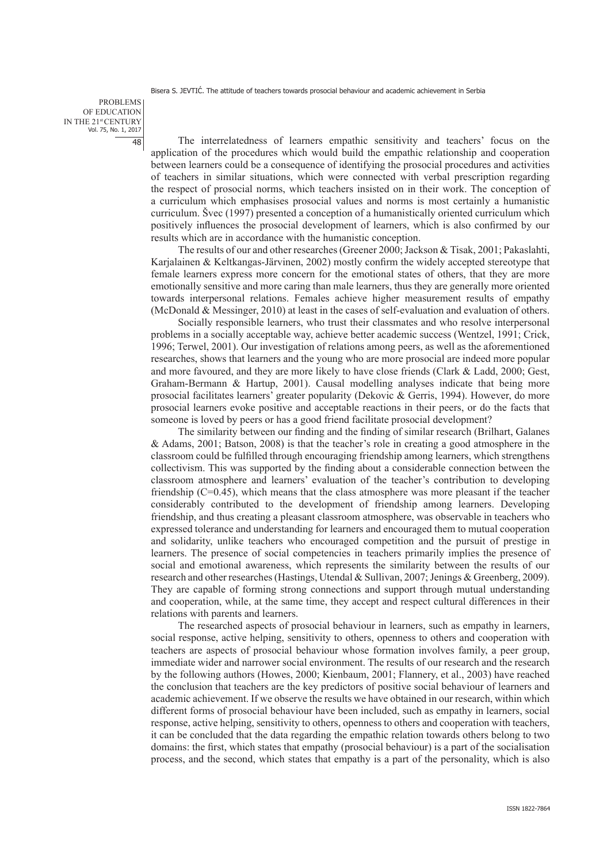PROBLEMS OF EDUCATION IN THE 21st CENTURY Vol. 75, No. 1, 2017 48

The interrelatedness of learners empathic sensitivity and teachers' focus on the application of the procedures which would build the empathic relationship and cooperation between learners could be a consequence of identifying the prosocial procedures and activities of teachers in similar situations, which were connected with verbal prescription regarding the respect of prosocial norms, which teachers insisted on in their work. The conception of a curriculum which emphasises prosocial values and norms is most certainly a humanistic curriculum. Švec (1997) presented a conception of a humanistically oriented curriculum which positively influences the prosocial development of learners, which is also confirmed by our results which are in accordance with the humanistic conception.

The results of our and other researches (Greener 2000; Jackson & Tisak, 2001; Pakaslahti, Karjalainen & Keltkangas-Järvinen, 2002) mostly confirm the widely accepted stereotype that female learners express more concern for the emotional states of others, that they are more emotionally sensitive and more caring than male learners, thus they are generally more oriented towards interpersonal relations. Females achieve higher measurement results of empathy (McDonald & Messinger, 2010) at least in the cases of self-evaluation and evaluation of others.

Socially responsible learners, who trust their classmates and who resolve interpersonal problems in a socially acceptable way, achieve better academic success (Wentzel, 1991; Crick, 1996; Terwel, 2001). Our investigation of relations among peers, as well as the aforementioned researches, shows that learners and the young who are more prosocial are indeed more popular and more favoured, and they are more likely to have close friends (Clark & Ladd, 2000; Gest, Graham-Bermann & Hartup, 2001). Causal modelling analyses indicate that being more prosocial facilitates learners' greater popularity (Dekovic & Gerris, 1994). However, do more prosocial learners evoke positive and acceptable reactions in their peers, or do the facts that someone is loved by peers or has a good friend facilitate prosocial development?

The similarity between our finding and the finding of similar research (Brilhart, Galanes & Adams, 2001; Batson, 2008) is that the teacher's role in creating a good atmosphere in the classroom could be fulfilled through encouraging friendship among learners, which strengthens collectivism. This was supported by the finding about a considerable connection between the classroom atmosphere and learners' evaluation of the teacher's contribution to developing friendship  $(C=0.45)$ , which means that the class atmosphere was more pleasant if the teacher considerably contributed to the development of friendship among learners. Developing friendship, and thus creating a pleasant classroom atmosphere, was observable in teachers who expressed tolerance and understanding for learners and encouraged them to mutual cooperation and solidarity, unlike teachers who encouraged competition and the pursuit of prestige in learners. The presence of social competencies in teachers primarily implies the presence of social and emotional awareness, which represents the similarity between the results of our research and other researches (Hastings, Utendal & Sullivan, 2007; Jenings & Greenberg, 2009). They are capable of forming strong connections and support through mutual understanding and cooperation, while, at the same time, they accept and respect cultural differences in their relations with parents and learners.

The researched aspects of prosocial behaviour in learners, such as empathy in learners, social response, active helping, sensitivity to others, openness to others and cooperation with teachers are aspects of prosocial behaviour whose formation involves family, a peer group, immediate wider and narrower social environment. The results of our research and the research by the following authors (Howes, 2000; Kienbaum, 2001; Flannery, et al., 2003) have reached the conclusion that teachers are the key predictors of positive social behaviour of learners and academic achievement. If we observe the results we have obtained in our research, within which different forms of prosocial behaviour have been included, such as empathy in learners, social response, active helping, sensitivity to others, openness to others and cooperation with teachers, it can be concluded that the data regarding the empathic relation towards others belong to two domains: the first, which states that empathy (prosocial behaviour) is a part of the socialisation process, and the second, which states that empathy is a part of the personality, which is also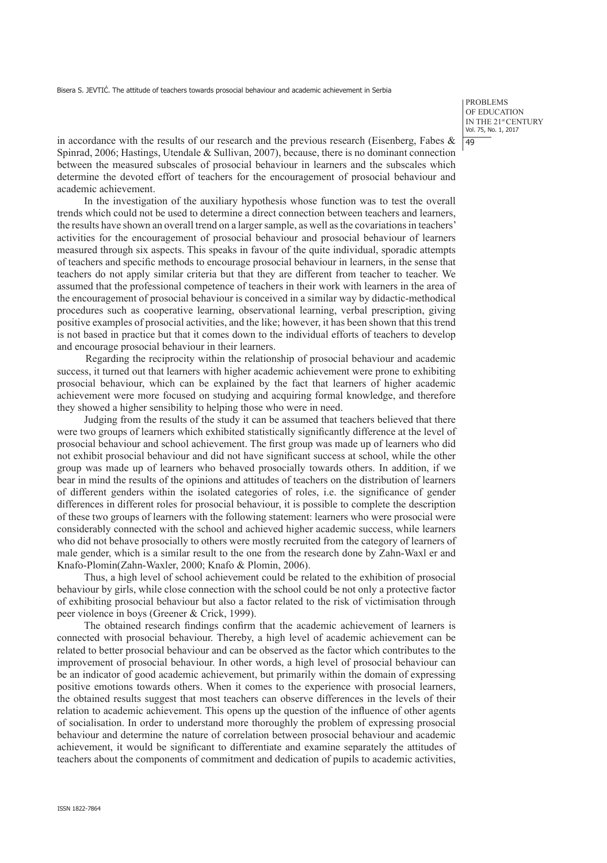PROBLEMS OF EDUCATION IN THE 21st CENTURY Vol. 75, No. 1, 2017 49

in accordance with the results of our research and the previous research (Eisenberg, Fabes  $\&$ Spinrad, 2006; Hastings, Utendale & Sullivan, 2007), because, there is no dominant connection between the measured subscales of prosocial behaviour in learners and the subscales which determine the devoted effort of teachers for the encouragement of prosocial behaviour and academic achievement.

In the investigation of the auxiliary hypothesis whose function was to test the overall trends which could not be used to determine a direct connection between teachers and learners, the results have shown an overall trend on a larger sample, as well as the covariations in teachers' activities for the encouragement of prosocial behaviour and prosocial behaviour of learners measured through six aspects. This speaks in favour of the quite individual, sporadic attempts of teachers and specific methods to encourage prosocial behaviour in learners, in the sense that teachers do not apply similar criteria but that they are different from teacher to teacher. We assumed that the professional competence of teachers in their work with learners in the area of the encouragement of prosocial behaviour is conceived in a similar way by didactic-methodical procedures such as cooperative learning, observational learning, verbal prescription, giving positive examples of prosocial activities, and the like; however, it has been shown that this trend is not based in practice but that it comes down to the individual efforts of teachers to develop and encourage prosocial behaviour in their learners.

Regarding the reciprocity within the relationship of prosocial behaviour and academic success, it turned out that learners with higher academic achievement were prone to exhibiting prosocial behaviour, which can be explained by the fact that learners of higher academic achievement were more focused on studying and acquiring formal knowledge, and therefore they showed a higher sensibility to helping those who were in need.

Judging from the results of the study it can be assumed that teachers believed that there were two groups of learners which exhibited statistically significantly difference at the level of prosocial behaviour and school achievement. The first group was made up of learners who did not exhibit prosocial behaviour and did not have significant success at school, while the other group was made up of learners who behaved prosocially towards others. In addition, if we bear in mind the results of the opinions and attitudes of teachers on the distribution of learners of different genders within the isolated categories of roles, i.e. the significance of gender differences in different roles for prosocial behaviour, it is possible to complete the description of these two groups of learners with the following statement: learners who were prosocial were considerably connected with the school and achieved higher academic success, while learners who did not behave prosocially to others were mostly recruited from the category of learners of male gender, which is a similar result to the one from the research done by Zahn-Waxl er and Knafo-Plomin(Zahn-Waxler, 2000; Knafo & Plomin, 2006).

Thus, a high level of school achievement could be related to the exhibition of prosocial behaviour by girls, while close connection with the school could be not only a protective factor of exhibiting prosocial behaviour but also a factor related to the risk of victimisation through peer violence in boys (Greener & Crick, 1999).

The obtained research findings confirm that the academic achievement of learners is connected with prosocial behaviour. Thereby, a high level of academic achievement can be related to better prosocial behaviour and can be observed as the factor which contributes to the improvement of prosocial behaviour. In other words, a high level of prosocial behaviour can be an indicator of good academic achievement, but primarily within the domain of expressing positive emotions towards others. When it comes to the experience with prosocial learners, the obtained results suggest that most teachers can observe differences in the levels of their relation to academic achievement. This opens up the question of the influence of other agents of socialisation. In order to understand more thoroughly the problem of expressing prosocial behaviour and determine the nature of correlation between prosocial behaviour and academic achievement, it would be significant to differentiate and examine separately the attitudes of teachers about the components of commitment and dedication of pupils to academic activities,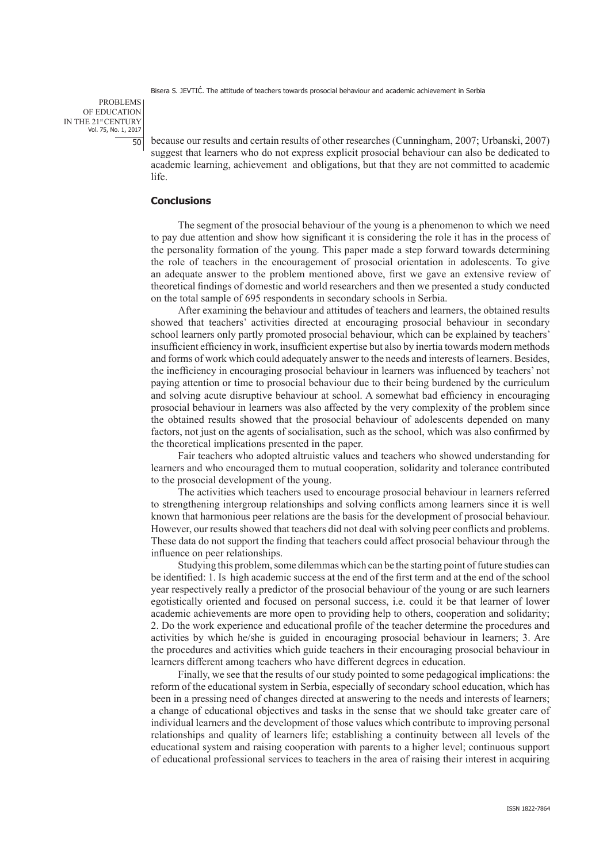PROBLEMS OF EDUCATION IN THE 21st CENTURY Vol. 75, No. 1, 2017  $50$ 

because our results and certain results of other researches (Cunningham, 2007; Urbanski, 2007) suggest that learners who do not express explicit prosocial behaviour can also be dedicated to academic learning, achievement and obligations, but that they are not committed to academic life.

# **Conclusions**

The segment of the prosocial behaviour of the young is a phenomenon to which we need to pay due attention and show how significant it is considering the role it has in the process of the personality formation of the young. This paper made a step forward towards determining the role of teachers in the encouragement of prosocial orientation in adolescents. To give an adequate answer to the problem mentioned above, first we gave an extensive review of theoretical findings of domestic and world researchers and then we presented a study conducted on the total sample of 695 respondents in secondary schools in Serbia.

After examining the behaviour and attitudes of teachers and learners, the obtained results showed that teachers' activities directed at encouraging prosocial behaviour in secondary school learners only partly promoted prosocial behaviour, which can be explained by teachers' insufficient efficiency in work, insufficient expertise but also by inertia towards modern methods and forms of work which could adequately answer to the needs and interests of learners. Besides, the inefficiency in encouraging prosocial behaviour in learners was influenced by teachers' not paying attention or time to prosocial behaviour due to their being burdened by the curriculum and solving acute disruptive behaviour at school. A somewhat bad efficiency in encouraging prosocial behaviour in learners was also affected by the very complexity of the problem since the obtained results showed that the prosocial behaviour of adolescents depended on many factors, not just on the agents of socialisation, such as the school, which was also confirmed by the theoretical implications presented in the paper.

Fair teachers who adopted altruistic values and teachers who showed understanding for learners and who encouraged them to mutual cooperation, solidarity and tolerance contributed to the prosocial development of the young.

The activities which teachers used to encourage prosocial behaviour in learners referred to strengthening intergroup relationships and solving conflicts among learners since it is well known that harmonious peer relations are the basis for the development of prosocial behaviour. However, our results showed that teachers did not deal with solving peer conflicts and problems. These data do not support the finding that teachers could affect prosocial behaviour through the influence on peer relationships.

Studying this problem, some dilemmas which can be the starting point of future studies can be identified: 1. Is high academic success at the end of the first term and at the end of the school year respectively really a predictor of the prosocial behaviour of the young or are such learners egotistically oriented and focused on personal success, i.e. could it be that learner of lower academic achievements are more open to providing help to others, cooperation and solidarity; 2. Do the work experience and educational profile of the teacher determine the procedures and activities by which he/she is guided in encouraging prosocial behaviour in learners; 3. Are the procedures and activities which guide teachers in their encouraging prosocial behaviour in learners different among teachers who have different degrees in education.

Finally, we see that the results of our study pointed to some pedagogical implications: the reform of the educational system in Serbia, especially of secondary school education, which has been in a pressing need of changes directed at answering to the needs and interests of learners; a change of educational objectives and tasks in the sense that we should take greater care of individual learners and the development of those values which contribute to improving personal relationships and quality of learners life; establishing a continuity between all levels of the educational system and raising cooperation with parents to a higher level; continuous support of educational professional services to teachers in the area of raising their interest in acquiring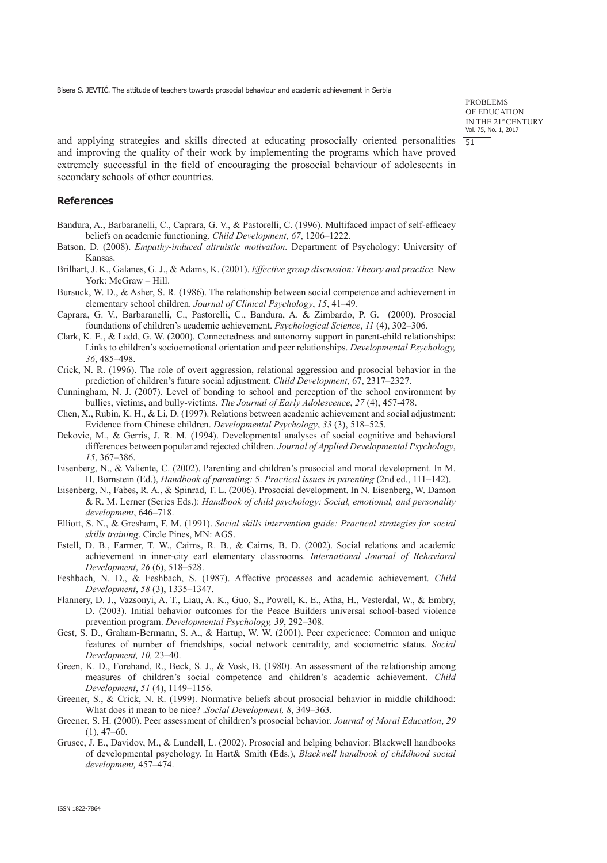PROBLEMS OF EDUCATION IN THE 21st CENTURY Vol. 75, No. 1, 2017 51

and applying strategies and skills directed at educating prosocially oriented personalities and improving the quality of their work by implementing the programs which have proved extremely successful in the field of encouraging the prosocial behaviour of adolescents in secondary schools of other countries.

## **References**

- Bandura, A., Barbaranelli, C., Caprara, G. V., & Pastorelli, C. (1996). Multifaced impact of self-efficacy beliefs on academic functioning. *Child Development*, *67*, 1206–1222.
- Batson, D. (2008). *Empathy-induced altruistic motivation.* Department of Psychology: University of Kansas.
- Brilhart, J. K., Galanes, G. J., & Adams, K. (2001). *Effective group discussion: Theory and practice.* New York: McGraw – Hill.
- Bursuck, W. D., & Asher, S. R. (1986). The relationship between social competence and achievement in elementary school children. *Journal of Clinical Psychology*, *15*, 41–49.
- Caprara, G. V., Barbaranelli, C., Pastorelli, C., Bandura, A. & Zimbardo, P. G. (2000). Prosocial foundations of children's academic achievement. *Psychological Science*, *11* (4), 302–306.
- Clark, K. E., & Ladd, G. W. (2000). Connectedness and autonomy support in parent-child relationships: Links to children's socioemotional orientation and peer relationships. *Developmental Psychology, 36*, 485–498.
- Crick, N. R. (1996). The role of overt aggression, relational aggression and prosocial behavior in the prediction of children's future social adjustment. *Child Development*, 67, 2317–2327.
- Cunningham, N. J. (2007). Level of bonding to school and perception of the school environment by bullies, victims, and bully-victims. *The Journal of Early Adolescence*, *27* (4), 457-478.
- Chen, X., Rubin, K. H., & Li, D. (1997). Relations between academic achievement and social adjustment: Evidence from Chinese children. *Developmental Psychology*, *33* (3), 518–525.
- Dekovic, M., & Gerris, J. R. M. (1994). Developmental analyses of social cognitive and behavioral differences between popular and rejected children. *Journal of Applied Developmental Psychology*, *15*, 367–386.
- Eisenberg, N., & Valiente, C. (2002). Parenting and children's prosocial and moral development. In M. H. Bornstein (Ed.), *Handbook of parenting:* 5. *Practical issues in parenting* (2nd ed., 111–142).
- Eisenberg, N., Fabes, R. A., & Spinrad, T. L. (2006). Prosocial development. In N. Eisenberg, W. Damon & R. M. Lerner (Series Eds.): *Handbook of child psychology: Social, emotional, and personality development*, 646–718.
- Elliott, S. N., & Gresham, F. M. (1991). *Social skills intervention guide: Practical strategies for social skills training*. Circle Pines, MN: AGS.
- Estell, D. B., Farmer, T. W., Cairns, R. B., & Cairns, B. D. (2002). Social relations and academic achievement in inner-city earl elementary classrooms. *International Journal of Behavioral Development*, *26* (6), 518–528.
- Feshbach, N. D., & Feshbach, S. (1987). Affective processes and academic achievement. *Child Development*, *58* (3), 1335–1347.
- Flannery, D. J., Vazsonyi, A. T., Liau, A. K., Guo, S., Powell, K. E., Atha, H., Vesterdal, W., & Embry, D. (2003). Initial behavior outcomes for the Peace Builders universal school-based violence prevention program. *Developmental Psychology, 39*, 292–308.
- Gest, S. D., Graham-Bermann, S. A., & Hartup, W. W. (2001). Peer experience: Common and unique features of number of friendships, social network centrality, and sociometric status. *Social Development, 10,* 23–40.
- Green, K. D., Forehand, R., Beck, S. J., & Vosk, B. (1980). An assessment of the relationship among measures of children's social competence and children's academic achievement. *Child Development*, *51* (4), 1149–1156.
- Greener, S., & Crick, N. R. (1999). Normative beliefs about prosocial behavior in middle childhood: What does it mean to be nice? .*Social Development, 8*, 349–363.
- Greener, S. H. (2000). Peer assessment of children's prosocial behavior. *Journal of Moral Education*, *29*  $(1), 47–60.$
- Grusec, J. E., Davidov, M., & Lundell, L. (2002). Prosocial and helping behavior: Blackwell handbooks of developmental psychology. In Hart& Smith (Eds.), *Blackwell handbook of childhood social development,* 457–474.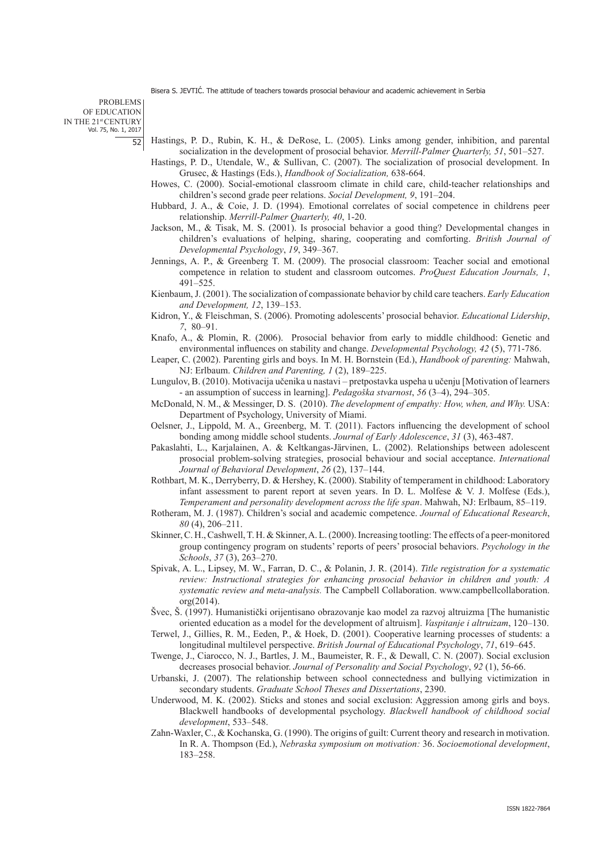PROBLEMS OF EDUCATION IN THE 21st CENTURY Vol. 75, No. 1, 2017 52

- Hastings, P. D., Rubin, K. H., & DeRose, L. (2005). Links among gender, inhibition, and parental socialization in the development of prosocial behavior. *Merrill-Palmer Quarterly, 51*, 501–527.
- Hastings, P. D., Utendale, W., & Sullivan, C. (2007). The socialization of prosocial development. In Grusec, & Hastings (Eds.), *Handbook of Socialization,* 638-664.
- Howes, C. (2000). Social-emotional classroom climate in child care, child-teacher relationships and children's second grade peer relations. *Social Development, 9*, 191–204.
- Hubbard, J. A., & Coie, J. D. (1994). Emotional correlates of social competence in childrens peer relationship. *Merrill-Palmer Quarterly, 40*, 1-20.
- Jackson, M., & Tisak, M. S. (2001). Is prosocial behavior a good thing? Developmental changes in children's evaluations of helping, sharing, cooperating and comforting. *British Journal of Developmental Psychology*, *19*, 349–367.
- Jennings, A. P., & Greenberg T. M. (2009). The prosocial classroom: Teacher social and emotional competence in relation to student and classroom outcomes. *ProQuest Education Journals, 1*, 491–525.
- Kienbaum, J. (2001). The socialization of compassionate behavior by child care teachers. *Early Education and Development, 12*, 139–153.
- Kidron, Y., & Fleischman, S. (2006). Promoting adolescents' prosocial behavior. *Educational Lidership*, *7*, 80–91.
- Knafo, A., & Plomin, R. (2006). Prosocial behavior from early to middle childhood: Genetic and environmental influences on stability and change. *Developmental Psychology, 42* (5), 771-786.
- Leaper, C. (2002). Parenting girls and boys. In M. H. Bornstein (Ed.), *Handbook of parenting:* Mahwah, NJ: Erlbaum. *Children and Parenting, 1* (2), 189–225.
- Lungulov, B. (2010). Motivacija učenika u nastavi pretpostavka uspeha u učenju [Motivation of learners - an assumption of success in learning]. *Pedagoška stvarnost*, *56* (3–4), 294–305.
- McDonald, N. M., & Messinger, D. S. (2010). *The development of empathy: How, when, and Why.* USA: Department of Psychology, University of Miami.
- Oelsner, J., Lippold, M. A., Greenberg, M. T. (2011). Factors influencing the development of school bonding among middle school students. *Journal of Early Adolescence*, *31* (3), 463-487.
- Pakaslahti, L., Karjalainen, A. & Keltkangas-Järvinen, L. (2002). Relationships between adolescent prosocial problem-solving strategies, prosocial behaviour and social acceptance. *International Journal of Behavioral Development*, *26* (2), 137–144.
- Rothbart, M. K., Derryberry, D. & Hershey, K. (2000). Stability of temperament in childhood: Laboratory infant assessment to parent report at seven years. In D. L. Molfese  $\& V.$  J. Molfese (Eds.), *Temperament and personality development across the life span*. Mahwah, NJ: Erlbaum, 85–119.
- Rotheram, M. J. (1987). Children's social and academic competence. *Journal of Educational Research*, *80* (4), 206–211.
- Skinner, C. H., Cashwell, T. H. & Skinner, A. L. (2000). Increasing tootling: The effects of a peer-monitored group contingency program on students' reports of peers' prosocial behaviors. *Psychology in the Schools*, *37* (3), 263–270.
- Spivak, A. L., Lipsey, M. W., Farran, D. C., & Polanin, J. R. (2014). *Title registration for a systematic review: Instructional strategies for enhancing prosocial behavior in children and youth: A systematic review and meta-analysis.* The Campbell Collaboration. www.campbellcollaboration. org(2014).
- Švec, Š. (1997). Humanistički orijentisano obrazovanje kao model za razvoj altruizma [The humanistic oriented education as a model for the development of altruism]. *Vaspitanje i altruizam*, 120–130.
- Terwel, J., Gillies, R. M., Eeden, P., & Hoek, D. (2001). Cooperative learning processes of students: a longitudinal multilevel perspective. *British Journal of Educational Psychology*, *71*, 619–645.
- Twenge, J., Ciarocco, N. J., Bartles, J. M., Baumeister, R. F., & Dewall, C. N. (2007). Social exclusion decreases prosocial behavior. *Journal of Personality and Social Psychology*, *92* (1), 56-66.
- Urbanski, J. (2007). The relationship between school connectedness and bullying victimization in secondary students. *Graduate School Theses and Dissertations*, 2390.
- Underwood, M. K. (2002). Sticks and stones and social exclusion: Aggression among girls and boys. Blackwell handbooks of developmental psychology. *Blackwell handbook of childhood social development*, 533–548.
- Zahn-Waxler, C., & Kochanska, G. (1990). The origins of guilt: Current theory and research in motivation. In R. A. Thompson (Ed.), *Nebraska symposium on motivation:* 36. *Socioemotional development*, 183–258.